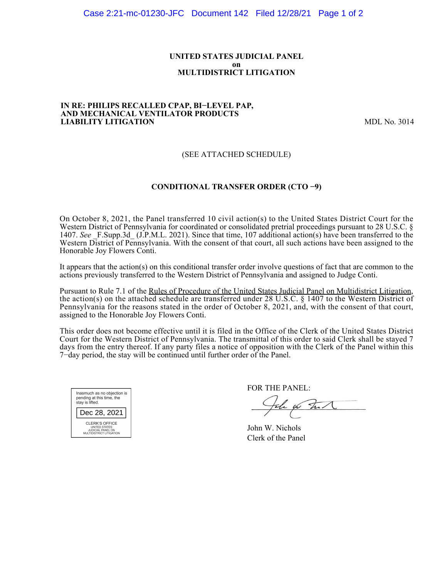#### **UNITED STATES JUDICIAL PANEL on MULTIDISTRICT LITIGATION**

#### **IN RE: PHILIPS RECALLED CPAP, BI−LEVEL PAP, AND MECHANICAL VENTILATOR PRODUCTS LIABILITY LITIGATION** MDL No. 3014

# (SEE ATTACHED SCHEDULE)

# **CONDITIONAL TRANSFER ORDER (CTO −9)**

On October 8, 2021, the Panel transferred 10 civil action(s) to the United States District Court for the Western District of Pennsylvania for coordinated or consolidated pretrial proceedings pursuant to 28 U.S.C. § 1407. See F.Supp.3d (J.P.M.L. 2021). Since that time, 107 additional action(s) have been transferred to the Western District of Pennsylvania. With the consent of that court, all such actions have been assigned to the Honorable Joy Flowers Conti.

It appears that the action(s) on this conditional transfer order involve questions of fact that are common to the actions previously transferred to the Western District of Pennsylvania and assigned to Judge Conti.

Pursuant to Rule 7.1 of the Rules of Procedure of the United States Judicial Panel on Multidistrict Litigation, the action(s) on the attached schedule are transferred under 28 U.S.C. § 1407 to the Western District of Pennsylvania for the reasons stated in the order of October 8, 2021, and, with the consent of that court, assigned to the Honorable Joy Flowers Conti.

This order does not become effective until it is filed in the Office of the Clerk of the United States District Court for the Western District of Pennsylvania. The transmittal of this order to said Clerk shall be stayed 7 days from the entry thereof. If any party files a notice of opposition with the Clerk of the Panel within this 7−day period, the stay will be continued until further order of the Panel.



FOR THE PANEL:

the w hill

John W. Nichols Clerk of the Panel